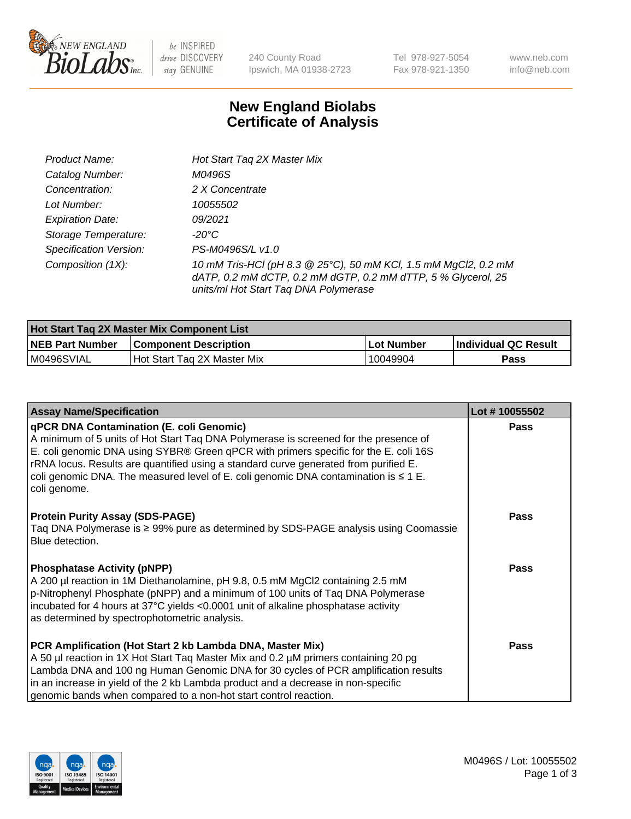

be INSPIRED drive DISCOVERY stay GENUINE

240 County Road Ipswich, MA 01938-2723 Tel 978-927-5054 Fax 978-921-1350 www.neb.com info@neb.com

## **New England Biolabs Certificate of Analysis**

| Product Name:           | Hot Start Tag 2X Master Mix                                                                                                                                               |
|-------------------------|---------------------------------------------------------------------------------------------------------------------------------------------------------------------------|
| Catalog Number:         | M0496S                                                                                                                                                                    |
| Concentration:          | 2 X Concentrate                                                                                                                                                           |
| Lot Number:             | 10055502                                                                                                                                                                  |
| <b>Expiration Date:</b> | 09/2021                                                                                                                                                                   |
| Storage Temperature:    | -20°C                                                                                                                                                                     |
| Specification Version:  | PS-M0496S/L v1.0                                                                                                                                                          |
| Composition (1X):       | 10 mM Tris-HCl (pH 8.3 @ 25°C), 50 mM KCl, 1.5 mM MgCl2, 0.2 mM<br>dATP, 0.2 mM dCTP, 0.2 mM dGTP, 0.2 mM dTTP, 5 % Glycerol, 25<br>units/ml Hot Start Taq DNA Polymerase |

| <b>Hot Start Tag 2X Master Mix Component List</b> |                              |                   |                      |  |  |
|---------------------------------------------------|------------------------------|-------------------|----------------------|--|--|
| <b>NEB Part Number</b>                            | <b>Component Description</b> | <b>Lot Number</b> | Individual QC Result |  |  |
| M0496SVIAL                                        | Hot Start Tag 2X Master Mix  | 10049904          | Pass                 |  |  |

| <b>Assay Name/Specification</b>                                                                                                                                                                                                                                                                                                                                                                                                     | Lot #10055502 |
|-------------------------------------------------------------------------------------------------------------------------------------------------------------------------------------------------------------------------------------------------------------------------------------------------------------------------------------------------------------------------------------------------------------------------------------|---------------|
| <b>qPCR DNA Contamination (E. coli Genomic)</b><br>A minimum of 5 units of Hot Start Taq DNA Polymerase is screened for the presence of<br>E. coli genomic DNA using SYBR® Green qPCR with primers specific for the E. coli 16S<br>rRNA locus. Results are quantified using a standard curve generated from purified E.<br>coli genomic DNA. The measured level of E. coli genomic DNA contamination is $\leq 1$ E.<br>coli genome. | <b>Pass</b>   |
| <b>Protein Purity Assay (SDS-PAGE)</b><br>Taq DNA Polymerase is ≥ 99% pure as determined by SDS-PAGE analysis using Coomassie<br>Blue detection.                                                                                                                                                                                                                                                                                    | Pass          |
| <b>Phosphatase Activity (pNPP)</b><br>A 200 µl reaction in 1M Diethanolamine, pH 9.8, 0.5 mM MgCl2 containing 2.5 mM<br>p-Nitrophenyl Phosphate (pNPP) and a minimum of 100 units of Taq DNA Polymerase<br>incubated for 4 hours at 37°C yields <0.0001 unit of alkaline phosphatase activity<br>as determined by spectrophotometric analysis.                                                                                      | Pass          |
| PCR Amplification (Hot Start 2 kb Lambda DNA, Master Mix)<br>A 50 µl reaction in 1X Hot Start Taq Master Mix and 0.2 µM primers containing 20 pg<br>Lambda DNA and 100 ng Human Genomic DNA for 30 cycles of PCR amplification results<br>in an increase in yield of the 2 kb Lambda product and a decrease in non-specific<br>genomic bands when compared to a non-hot start control reaction.                                     | <b>Pass</b>   |

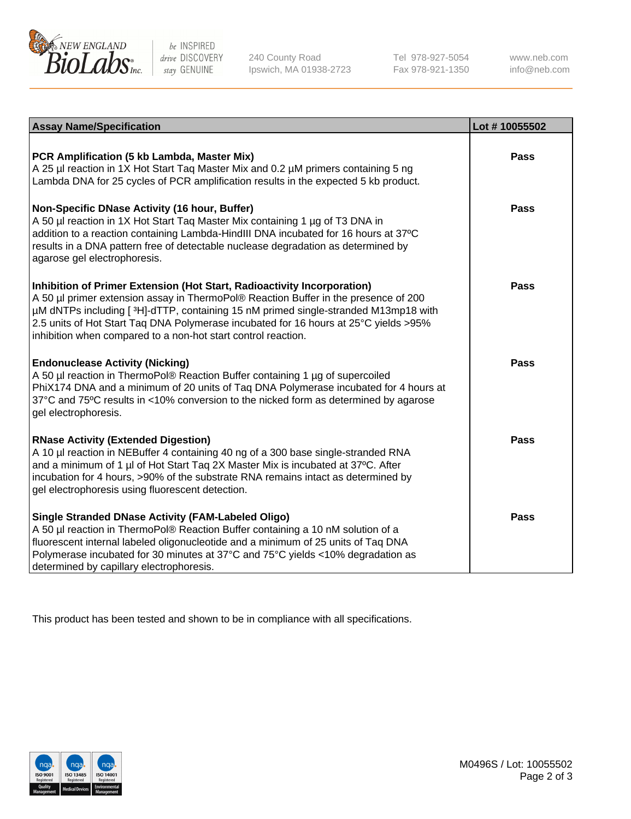

be INSPIRED drive DISCOVERY stay GENUINE

240 County Road Ipswich, MA 01938-2723 Tel 978-927-5054 Fax 978-921-1350 www.neb.com info@neb.com

| <b>Assay Name/Specification</b>                                                                                                                                                                                                                                                                                                                                                                               | Lot #10055502 |
|---------------------------------------------------------------------------------------------------------------------------------------------------------------------------------------------------------------------------------------------------------------------------------------------------------------------------------------------------------------------------------------------------------------|---------------|
| PCR Amplification (5 kb Lambda, Master Mix)<br>A 25 µl reaction in 1X Hot Start Taq Master Mix and 0.2 µM primers containing 5 ng<br>Lambda DNA for 25 cycles of PCR amplification results in the expected 5 kb product.                                                                                                                                                                                      | <b>Pass</b>   |
| Non-Specific DNase Activity (16 hour, Buffer)<br>A 50 µl reaction in 1X Hot Start Taq Master Mix containing 1 µg of T3 DNA in<br>addition to a reaction containing Lambda-HindIII DNA incubated for 16 hours at 37°C<br>results in a DNA pattern free of detectable nuclease degradation as determined by<br>agarose gel electrophoresis.                                                                     | <b>Pass</b>   |
| Inhibition of Primer Extension (Hot Start, Radioactivity Incorporation)<br>A 50 µl primer extension assay in ThermoPol® Reaction Buffer in the presence of 200<br>µM dNTPs including [3H]-dTTP, containing 15 nM primed single-stranded M13mp18 with<br>2.5 units of Hot Start Taq DNA Polymerase incubated for 16 hours at 25°C yields >95%<br>inhibition when compared to a non-hot start control reaction. | Pass          |
| <b>Endonuclease Activity (Nicking)</b><br>A 50 µl reaction in ThermoPol® Reaction Buffer containing 1 µg of supercoiled<br>PhiX174 DNA and a minimum of 20 units of Taq DNA Polymerase incubated for 4 hours at<br>37°C and 75°C results in <10% conversion to the nicked form as determined by agarose<br>gel electrophoresis.                                                                               | <b>Pass</b>   |
| <b>RNase Activity (Extended Digestion)</b><br>A 10 µl reaction in NEBuffer 4 containing 40 ng of a 300 base single-stranded RNA<br>and a minimum of 1 µl of Hot Start Taq 2X Master Mix is incubated at 37°C. After<br>incubation for 4 hours, >90% of the substrate RNA remains intact as determined by<br>gel electrophoresis using fluorescent detection.                                                  | <b>Pass</b>   |
| <b>Single Stranded DNase Activity (FAM-Labeled Oligo)</b><br>A 50 µl reaction in ThermoPol® Reaction Buffer containing a 10 nM solution of a<br>fluorescent internal labeled oligonucleotide and a minimum of 25 units of Taq DNA<br>Polymerase incubated for 30 minutes at 37°C and 75°C yields <10% degradation as<br>determined by capillary electrophoresis.                                              | Pass          |

This product has been tested and shown to be in compliance with all specifications.